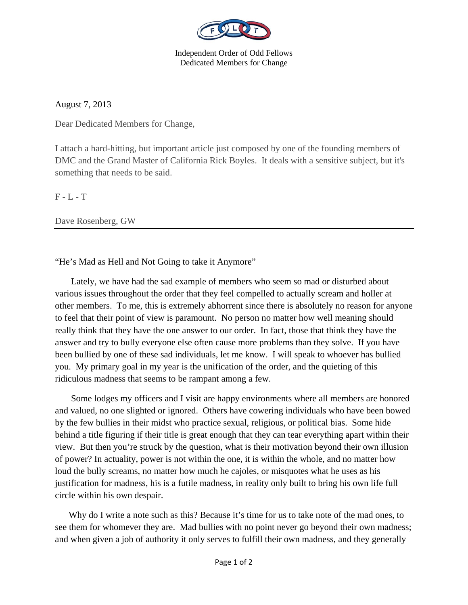

Independent Order of Odd Fellows Dedicated Members for Change

August 7, 2013

Dear Dedicated Members for Change,

I attach a hard-hitting, but important article just composed by one of the founding members of DMC and the Grand Master of California Rick Boyles. It deals with a sensitive subject, but it's something that needs to be said.

F - L - T

Dave Rosenberg, GW

"He's Mad as Hell and Not Going to take it Anymore"

 Lately, we have had the sad example of members who seem so mad or disturbed about various issues throughout the order that they feel compelled to actually scream and holler at other members. To me, this is extremely abhorrent since there is absolutely no reason for anyone to feel that their point of view is paramount. No person no matter how well meaning should really think that they have the one answer to our order. In fact, those that think they have the answer and try to bully everyone else often cause more problems than they solve. If you have been bullied by one of these sad individuals, let me know. I will speak to whoever has bullied you. My primary goal in my year is the unification of the order, and the quieting of this ridiculous madness that seems to be rampant among a few.

 Some lodges my officers and I visit are happy environments where all members are honored and valued, no one slighted or ignored. Others have cowering individuals who have been bowed by the few bullies in their midst who practice sexual, religious, or political bias. Some hide behind a title figuring if their title is great enough that they can tear everything apart within their view. But then you're struck by the question, what is their motivation beyond their own illusion of power? In actuality, power is not within the one, it is within the whole, and no matter how loud the bully screams, no matter how much he cajoles, or misquotes what he uses as his justification for madness, his is a futile madness, in reality only built to bring his own life full circle within his own despair.

 Why do I write a note such as this? Because it's time for us to take note of the mad ones, to see them for whomever they are. Mad bullies with no point never go beyond their own madness; and when given a job of authority it only serves to fulfill their own madness, and they generally